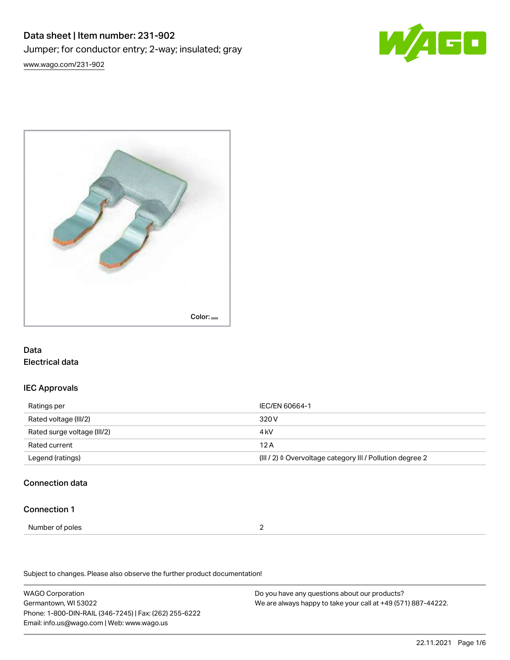## Data sheet | Item number: 231-902 Jumper; for conductor entry; 2-way; insulated; gray [www.wago.com/231-902](http://www.wago.com/231-902)





## Data Electrical data

## IEC Approvals

| Ratings per                 | IEC/EN 60664-1                                            |  |
|-----------------------------|-----------------------------------------------------------|--|
| Rated voltage (III/2)       | 320 V                                                     |  |
| Rated surge voltage (III/2) | 4 kV                                                      |  |
| Rated current               | 12A                                                       |  |
| Legend (ratings)            | (III / 2) ≙ Overvoltage category III / Pollution degree 2 |  |

## Connection data

#### Connection 1

Number of poles 2

Subject to changes. Please also observe the further product documentation!

WAGO Corporation Germantown, WI 53022 Phone: 1-800-DIN-RAIL (346-7245) | Fax: (262) 255-6222 Email: info.us@wago.com | Web: www.wago.us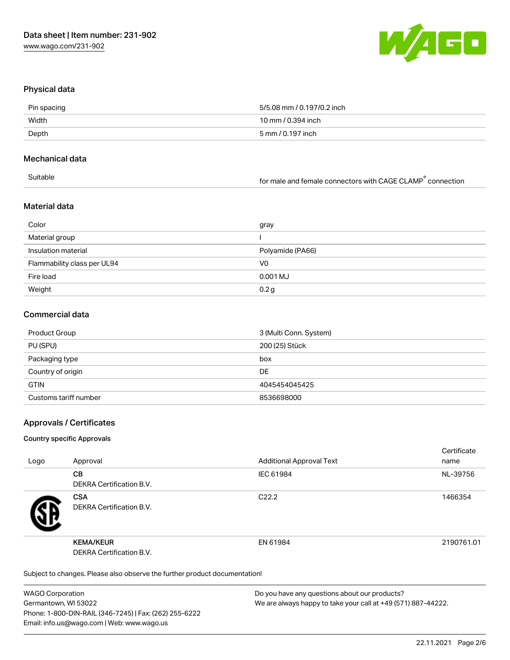

### Physical data

| Pin spacing | 5/5.08 mm / 0.197/0.2 inch |
|-------------|----------------------------|
| Width       | 10 mm / 0.394 inch         |
| Depth       | 5 mm / 0.197 inch          |

#### Mechanical data

| Suitable | for male and female connectors with CAGE CLAMP connection |
|----------|-----------------------------------------------------------|
|          |                                                           |

## Material data

| Color                       | gray             |
|-----------------------------|------------------|
| Material group              |                  |
| Insulation material         | Polyamide (PA66) |
| Flammability class per UL94 | V0               |
| Fire load                   | 0.001 MJ         |
| Weight                      | 0.2 <sub>g</sub> |

#### Commercial data

| Product Group         | 3 (Multi Conn. System) |
|-----------------------|------------------------|
| PU (SPU)              | 200 (25) Stück         |
| Packaging type        | box                    |
| Country of origin     | DE                     |
| <b>GTIN</b>           | 4045454045425          |
| Customs tariff number | 8536698000             |

## Approvals / Certificates

#### Country specific Approvals

|      |                                                                            |                                 | Certificate |
|------|----------------------------------------------------------------------------|---------------------------------|-------------|
| Logo | Approval                                                                   | <b>Additional Approval Text</b> | name        |
|      | <b>CB</b>                                                                  | IEC 61984                       | NL-39756    |
|      | DEKRA Certification B.V.                                                   |                                 |             |
|      | <b>CSA</b>                                                                 | C <sub>22.2</sub>               | 1466354     |
| ЧÞ   | DEKRA Certification B.V.                                                   |                                 |             |
|      | <b>KEMA/KEUR</b>                                                           | EN 61984                        | 2190761.01  |
|      | DEKRA Certification B.V.                                                   |                                 |             |
|      | Subject to changes. Please also observe the further product documentation! |                                 |             |

WAGO Corporation Germantown, WI 53022 Phone: 1-800-DIN-RAIL (346-7245) | Fax: (262) 255-6222 Email: info.us@wago.com | Web: www.wago.us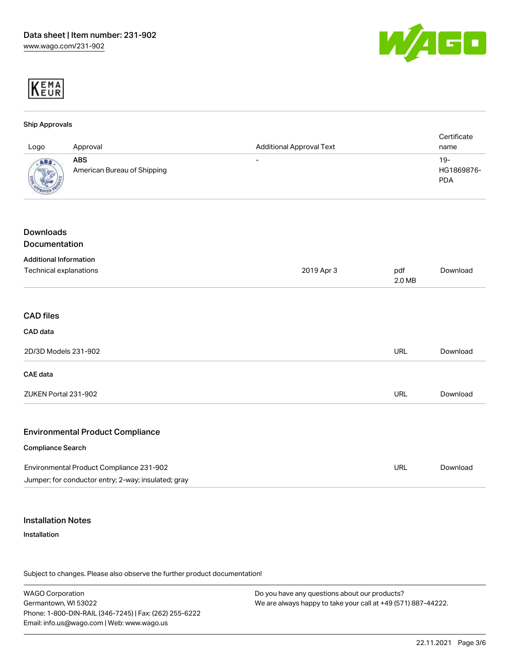



## Ship Approvals Logo Approval Additional Approval Text **Certificate** name ABS American Bureau of Shipping - 19-HG1869876- PDA Downloads Documentation Additional Information Technical explanations 2019 Apr 3 pdf 2.0 MB [Download](https://www.wago.com/global/d/1435602) CAD files CAD data 2D/3D Models 231-902 URL [Download](https://www.wago.com/global/d/3D_URLS_231-902) CAE data ZUKEN Portal 231-902 URL [Download](https://www.wago.com/global/d/Zuken_URLS_231-902) Environmental Product Compliance Compliance Search Environmental Product Compliance 231-902 Jumper; for conductor entry; 2-way; insulated; gray URL [Download](https://www.wago.com/global/d/ComplianceLinkMediaContainer_231-902)

### Installation Notes

#### Installation

Subject to changes. Please also observe the further product documentation!

WAGO Corporation Germantown, WI 53022 Phone: 1-800-DIN-RAIL (346-7245) | Fax: (262) 255-6222 Email: info.us@wago.com | Web: www.wago.us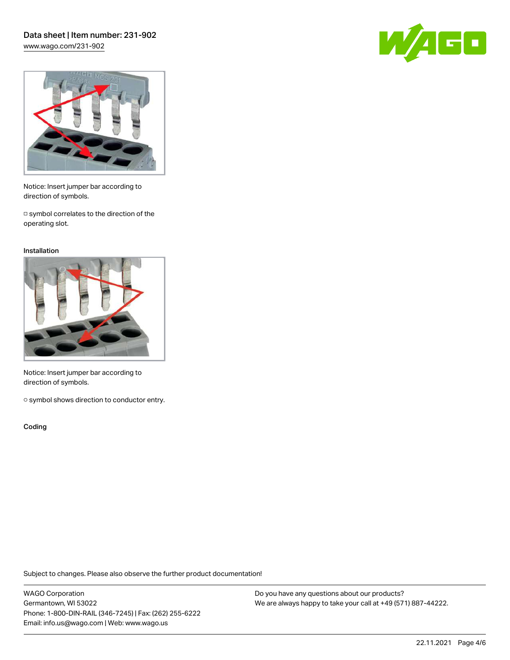



Notice: Insert jumper bar according to direction of symbols.

□ symbol correlates to the direction of the operating slot.

#### Installation



Notice: Insert jumper bar according to direction of symbols.

○ symbol shows direction to conductor entry.

Coding

Subject to changes. Please also observe the further product documentation!

WAGO Corporation Germantown, WI 53022 Phone: 1-800-DIN-RAIL (346-7245) | Fax: (262) 255-6222 Email: info.us@wago.com | Web: www.wago.us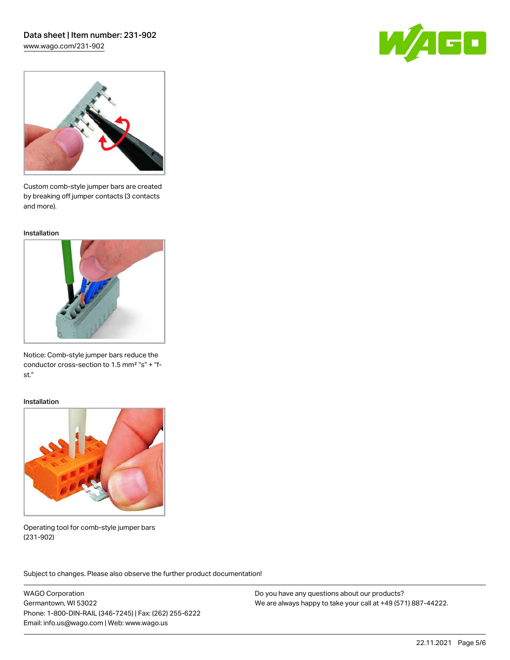# Data sheet | Item number: 231-902

[www.wago.com/231-902](http://www.wago.com/231-902)





Custom comb-style jumper bars are created by breaking off jumper contacts (3 contacts and more).

Installation



Notice: Comb-style jumper bars reduce the conductor cross-section to 1.5 mm² "s" + "fst."

#### Installation



Operating tool for comb-style jumper bars (231-902)

Subject to changes. Please also observe the further product documentation! Application

WAGO Corporation Germantown, WI 53022 Phone: 1-800-DIN-RAIL (346-7245) | Fax: (262) 255-6222 Email: info.us@wago.com | Web: www.wago.us